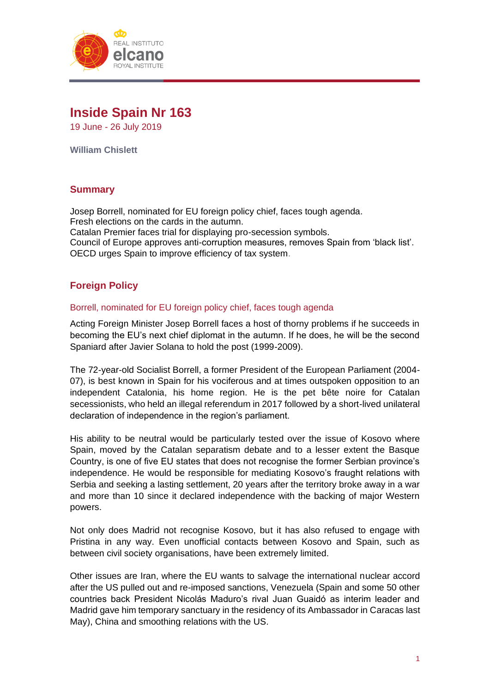

# **Inside Spain Nr 163**

19 June - 26 July 2019

**William Chislett**

# **Summary**

Josep Borrell, nominated for EU foreign policy chief, faces tough agenda. Fresh elections on the cards in the autumn. Catalan Premier faces trial for displaying pro-secession symbols. Council of Europe approves anti-corruption measures, removes Spain from 'black list'. OECD urges Spain to improve efficiency of tax system.

# **Foreign Policy**

## Borrell, nominated for EU foreign policy chief, faces tough agenda

Acting Foreign Minister Josep Borrell faces a host of thorny problems if he succeeds in becoming the EU's next chief diplomat in the autumn. If he does, he will be the second Spaniard after Javier Solana to hold the post (1999-2009).

The 72-year-old Socialist Borrell, a former President of the European Parliament (2004- 07), is best known in Spain for his vociferous and at times outspoken opposition to an independent Catalonia, his home region. He is the pet bête noire for Catalan secessionists, who held an illegal referendum in 2017 followed by a short-lived unilateral declaration of independence in the region's parliament.

His ability to be neutral would be particularly tested over the issue of Kosovo where Spain, moved by the Catalan separatism debate and to a lesser extent the Basque Country, is one of five EU states that does not recognise the former Serbian province's independence. He would be responsible for mediating Kosovo's fraught relations with Serbia and seeking a lasting settlement, 20 years after the territory broke away in a war and more than 10 since it declared independence with the backing of major Western powers.

Not only does Madrid not recognise Kosovo, but it has also refused to engage with Pristina in any way. Even unofficial contacts between Kosovo and Spain, such as between civil society organisations, have been extremely limited.

Other issues are Iran, where the EU wants to salvage the international nuclear accord after the US pulled out and re-imposed sanctions, Venezuela (Spain and some 50 other countries back President Nicolás Maduro's rival Juan Guaidó as interim leader and Madrid gave him temporary sanctuary in the residency of its Ambassador in Caracas last May), China and smoothing relations with the US.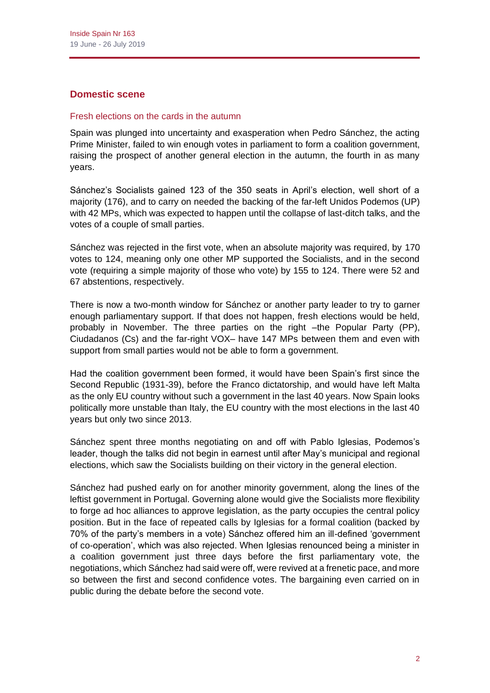# **Domestic scene**

## Fresh elections on the cards in the autumn

Spain was plunged into uncertainty and exasperation when Pedro Sánchez, the acting Prime Minister, failed to win enough votes in parliament to form a coalition government, raising the prospect of another general election in the autumn, the fourth in as many years.

Sánchez's Socialists gained 123 of the 350 seats in April's election, well short of a majority (176), and to carry on needed the backing of the far-left Unidos Podemos (UP) with 42 MPs, which was expected to happen until the collapse of last-ditch talks, and the votes of a couple of small parties.

Sánchez was rejected in the first vote, when an absolute majority was required, by 170 votes to 124, meaning only one other MP supported the Socialists, and in the second vote (requiring a simple majority of those who vote) by 155 to 124. There were 52 and 67 abstentions, respectively.

There is now a two-month window for Sánchez or another party leader to try to garner enough parliamentary support. If that does not happen, fresh elections would be held, probably in November. The three parties on the right –the Popular Party (PP), Ciudadanos (Cs) and the far-right VOX– have 147 MPs between them and even with support from small parties would not be able to form a government.

Had the coalition government been formed, it would have been Spain's first since the Second Republic (1931-39), before the Franco dictatorship, and would have left Malta as the only EU country without such a government in the last 40 years. Now Spain looks politically more unstable than Italy, the EU country with the most elections in the last 40 years but only two since 2013.

Sánchez spent three months negotiating on and off with Pablo Iglesias, Podemos's leader, though the talks did not begin in earnest until after May's municipal and regional elections, which saw the Socialists building on their victory in the general election.

Sánchez had pushed early on for another minority government, along the lines of the leftist government in Portugal. Governing alone would give the Socialists more flexibility to forge ad hoc alliances to approve legislation, as the party occupies the central policy position. But in the face of repeated calls by Iglesias for a formal coalition (backed by 70% of the party's members in a vote) Sánchez offered him an ill-defined 'government of co-operation', which was also rejected. When Iglesias renounced being a minister in a coalition government just three days before the first parliamentary vote, the negotiations, which Sánchez had said were off, were revived at a frenetic pace, and more so between the first and second confidence votes. The bargaining even carried on in public during the debate before the second vote.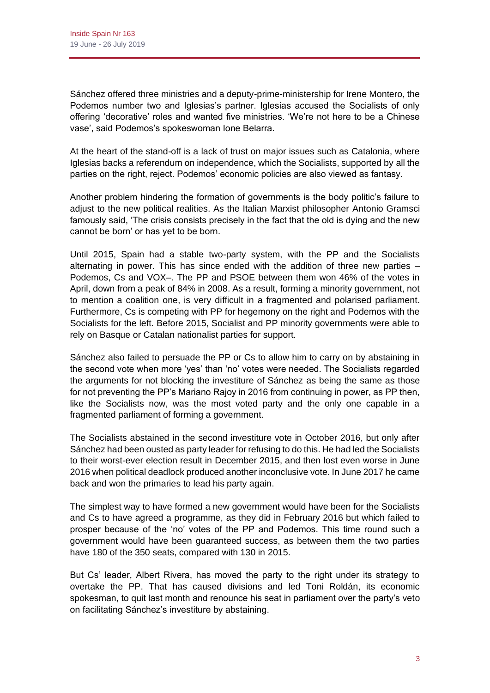Sánchez offered three ministries and a deputy-prime-ministership for Irene Montero, the Podemos number two and Iglesias's partner. Iglesias accused the Socialists of only offering 'decorative' roles and wanted five ministries. 'We're not here to be a Chinese vase', said Podemos's spokeswoman Ione Belarra.

At the heart of the stand-off is a lack of trust on major issues such as Catalonia, where Iglesias backs a referendum on independence, which the Socialists, supported by all the parties on the right, reject. Podemos' economic policies are also viewed as fantasy.

Another problem hindering the formation of governments is the body politic's failure to adjust to the new political realities. As the Italian Marxist philosopher Antonio Gramsci famously said, 'The crisis consists precisely in the fact that the old is dying and the new cannot be born' or has yet to be born.

Until 2015, Spain had a stable two-party system, with the PP and the Socialists alternating in power. This has since ended with the addition of three new parties – Podemos, Cs and VOX–. The PP and PSOE between them won 46% of the votes in April, down from a peak of 84% in 2008. As a result, forming a minority government, not to mention a coalition one, is very difficult in a fragmented and polarised parliament. Furthermore, Cs is competing with PP for hegemony on the right and Podemos with the Socialists for the left. Before 2015, Socialist and PP minority governments were able to rely on Basque or Catalan nationalist parties for support.

Sánchez also failed to persuade the PP or Cs to allow him to carry on by abstaining in the second vote when more 'yes' than 'no' votes were needed. The Socialists regarded the arguments for not blocking the investiture of Sánchez as being the same as those for not preventing the PP's Mariano Rajoy in 2016 from continuing in power, as PP then, like the Socialists now, was the most voted party and the only one capable in a fragmented parliament of forming a government.

The Socialists abstained in the second investiture vote in October 2016, but only after Sánchez had been ousted as party leader for refusing to do this. He had led the Socialists to their worst-ever election result in December 2015, and then lost even worse in June 2016 when political deadlock produced another inconclusive vote. In June 2017 he came back and won the primaries to lead his party again.

The simplest way to have formed a new government would have been for the Socialists and Cs to have agreed a programme, as they did in February 2016 but which failed to prosper because of the 'no' votes of the PP and Podemos. This time round such a government would have been guaranteed success, as between them the two parties have 180 of the 350 seats, compared with 130 in 2015.

But Cs' leader, Albert Rivera, has moved the party to the right under its strategy to overtake the PP. That has caused divisions and led Toni Roldán, its economic spokesman, to quit last month and renounce his seat in parliament over the party's veto on facilitating Sánchez's investiture by abstaining.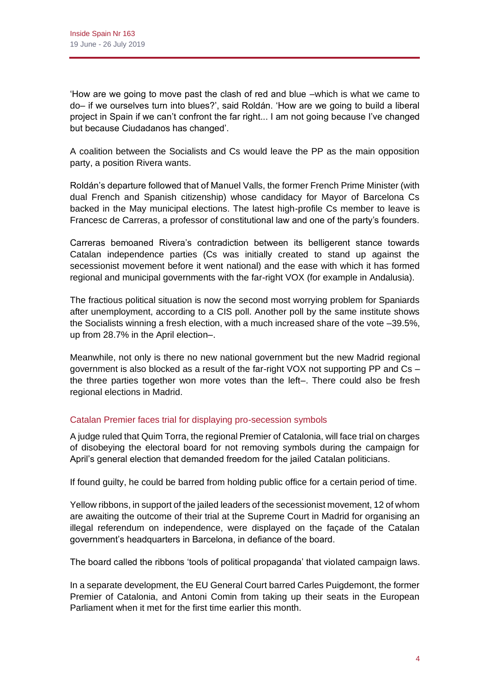'How are we going to move past the clash of red and blue –which is what we came to do– if we ourselves turn into blues?', said Roldán. 'How are we going to build a liberal project in Spain if we can't confront the far right... I am not going because I've changed but because Ciudadanos has changed'.

A coalition between the Socialists and Cs would leave the PP as the main opposition party, a position Rivera wants.

Roldán's departure followed that of Manuel Valls, the former French Prime Minister (with dual French and Spanish citizenship) whose candidacy for Mayor of Barcelona Cs backed in the May municipal elections. The latest high-profile Cs member to leave is Francesc de Carreras, a professor of constitutional law and one of the party's founders.

Carreras bemoaned Rivera's contradiction between its belligerent stance towards Catalan independence parties (Cs was initially created to stand up against the secessionist movement before it went national) and the ease with which it has formed regional and municipal governments with the far-right VOX (for example in Andalusia).

The fractious political situation is now the second most worrying problem for Spaniards after unemployment, according to a CIS poll. Another poll by the same institute shows the Socialists winning a fresh election, with a much increased share of the vote –39.5%, up from 28.7% in the April election–.

Meanwhile, not only is there no new national government but the new Madrid regional government is also blocked as a result of the far-right VOX not supporting PP and Cs – the three parties together won more votes than the left–. There could also be fresh regional elections in Madrid.

# Catalan Premier faces trial for displaying pro-secession symbols

A judge ruled that Quim Torra, the regional Premier of Catalonia, will face trial on charges of disobeying the electoral board for not removing symbols during the campaign for April's general election that demanded freedom for the jailed Catalan politicians.

If found guilty, he could be barred from holding public office for a certain period of time.

Yellow ribbons, in support of the jailed leaders of the secessionist movement, 12 of whom are awaiting the outcome of their trial at the Supreme Court in Madrid for organising an illegal referendum on independence, were displayed on the façade of the Catalan government's headquarters in Barcelona, in defiance of the board.

The board called the ribbons 'tools of political propaganda' that violated campaign laws.

In a separate development, the EU General Court barred Carles Puigdemont, the former Premier of Catalonia, and Antoni Comin from taking up their seats in the European Parliament when it met for the first time earlier this month.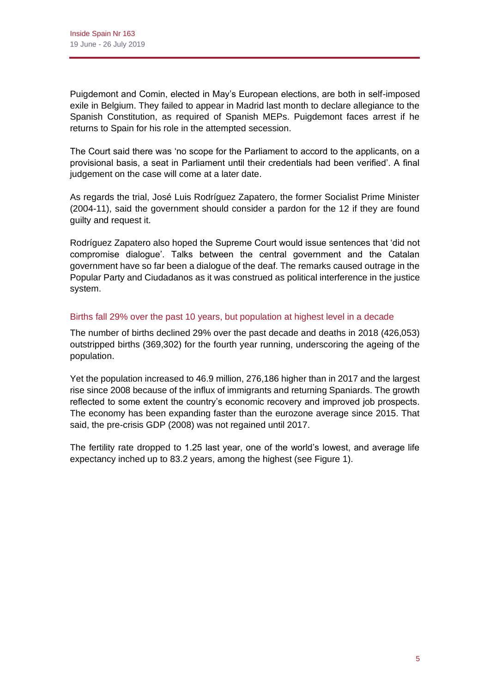Puigdemont and Comin, elected in May's European elections, are both in self-imposed exile in Belgium. They failed to appear in Madrid last month to declare allegiance to the Spanish Constitution, as required of Spanish MEPs. Puigdemont faces arrest if he returns to Spain for his role in the attempted secession.

The Court said there was 'no scope for the Parliament to accord to the applicants, on a provisional basis, a seat in Parliament until their credentials had been verified'. A final judgement on the case will come at a later date.

As regards the trial, José Luis Rodríguez Zapatero, the former Socialist Prime Minister (2004-11), said the government should consider a pardon for the 12 if they are found guilty and request it.

Rodríguez Zapatero also hoped the Supreme Court would issue sentences that 'did not compromise dialogue'. Talks between the central government and the Catalan government have so far been a dialogue of the deaf. The remarks caused outrage in the Popular Party and Ciudadanos as it was construed as political interference in the justice system.

## Births fall 29% over the past 10 years, but population at highest level in a decade

The number of births declined 29% over the past decade and deaths in 2018 (426,053) outstripped births (369,302) for the fourth year running, underscoring the ageing of the population.

Yet the population increased to 46.9 million, 276,186 higher than in 2017 and the largest rise since 2008 because of the influx of immigrants and returning Spaniards. The growth reflected to some extent the country's economic recovery and improved job prospects. The economy has been expanding faster than the eurozone average since 2015. That said, the pre-crisis GDP (2008) was not regained until 2017.

The fertility rate dropped to 1.25 last year, one of the world's lowest, and average life expectancy inched up to 83.2 years, among the highest (see Figure 1).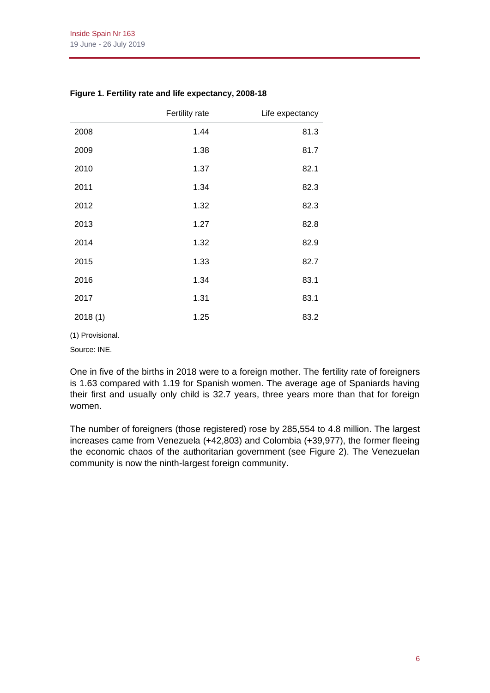|         | Fertility rate | Life expectancy |
|---------|----------------|-----------------|
| 2008    | 1.44           | 81.3            |
| 2009    | 1.38           | 81.7            |
| 2010    | 1.37           | 82.1            |
| 2011    | 1.34           | 82.3            |
| 2012    | 1.32           | 82.3            |
| 2013    | 1.27           | 82.8            |
| 2014    | 1.32           | 82.9            |
| 2015    | 1.33           | 82.7            |
| 2016    | 1.34           | 83.1            |
| 2017    | 1.31           | 83.1            |
| 2018(1) | 1.25           | 83.2            |

#### **Figure 1. Fertility rate and life expectancy, 2008-18**

(1) Provisional.

Source: INE.

One in five of the births in 2018 were to a foreign mother. The fertility rate of foreigners is 1.63 compared with 1.19 for Spanish women. The average age of Spaniards having their first and usually only child is 32.7 years, three years more than that for foreign women.

The number of foreigners (those registered) rose by 285,554 to 4.8 million. The largest increases came from Venezuela (+42,803) and Colombia (+39,977), the former fleeing the economic chaos of the authoritarian government (see Figure 2). The Venezuelan community is now the ninth-largest foreign community.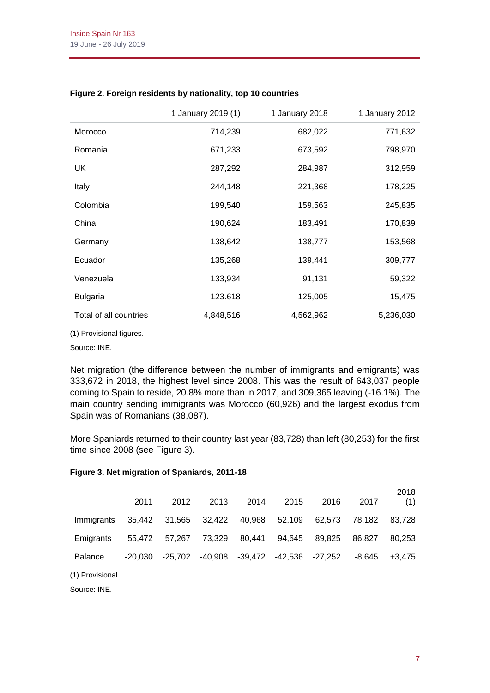|                        | 1 January 2019 (1) | 1 January 2018 | 1 January 2012 |
|------------------------|--------------------|----------------|----------------|
| Morocco                | 714,239            | 682,022        | 771,632        |
| Romania                | 671,233            | 673,592        | 798,970        |
| UK                     | 287,292            | 284,987        | 312,959        |
| Italy                  | 244,148            | 221,368        | 178,225        |
| Colombia               | 199,540            | 159,563        | 245,835        |
| China                  | 190,624            | 183,491        | 170,839        |
| Germany                | 138,642            | 138,777        | 153,568        |
| Ecuador                | 135,268            | 139,441        | 309,777        |
| Venezuela              | 133,934            | 91,131         | 59,322         |
| <b>Bulgaria</b>        | 123.618            | 125,005        | 15,475         |
| Total of all countries | 4,848,516          | 4,562,962      | 5,236,030      |

## **Figure 2. Foreign residents by nationality, top 10 countries**

(1) Provisional figures.

Source: INE.

Net migration (the difference between the number of immigrants and emigrants) was 333,672 in 2018, the highest level since 2008. This was the result of 643,037 people coming to Spain to reside, 20.8% more than in 2017, and 309,365 leaving (-16.1%). The main country sending immigrants was Morocco (60,926) and the largest exodus from Spain was of Romanians (38,087).

More Spaniards returned to their country last year (83,728) than left (80,253) for the first time since 2008 (see Figure 3).

#### **Figure 3. Net migration of Spaniards, 2011-18**

|                | 2011      | 2012      | 2013      | 2014    | 2015    | 2016    | 2017     | 2018<br>(1) |
|----------------|-----------|-----------|-----------|---------|---------|---------|----------|-------------|
| Immigrants     | 35.442    | 31.565    | 32.422    | 40,968  | 52.109  | 62.573  | 78.182   | 83.728      |
| Emigrants      | 55.472    | 57.267    | 73.329    | 80.441  | 94.645  | 89.825  | 86.827   | 80.253      |
| <b>Balance</b> | $-20.030$ | $-25.702$ | $-40,908$ | -39,472 | -42.536 | -27,252 | $-8.645$ | $+3.475$    |

(1) Provisional.

Source: INE.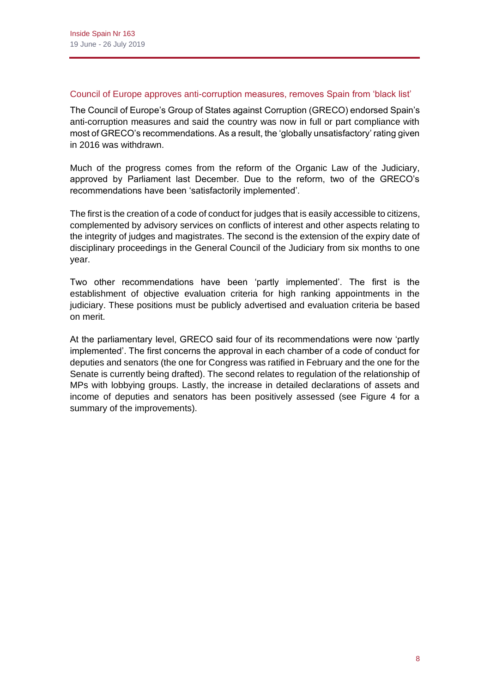#### Council of Europe approves anti-corruption measures, removes Spain from 'black list'

The Council of Europe's Group of States against Corruption (GRECO) endorsed Spain's anti-corruption measures and said the country was now in full or part compliance with most of GRECO's recommendations. As a result, the 'globally unsatisfactory' rating given in 2016 was withdrawn.

Much of the progress comes from the reform of the Organic Law of the Judiciary, approved by Parliament last December. Due to the reform, two of the GRECO's recommendations have been 'satisfactorily implemented'.

The first is the creation of a code of conduct for judges that is easily accessible to citizens, complemented by advisory services on conflicts of interest and other aspects relating to the integrity of judges and magistrates. The second is the extension of the expiry date of disciplinary proceedings in the General Council of the Judiciary from six months to one year.

Two other recommendations have been 'partly implemented'. The first is the establishment of objective evaluation criteria for high ranking appointments in the judiciary. These positions must be publicly advertised and evaluation criteria be based on merit.

At the parliamentary level, GRECO said four of its recommendations were now 'partly implemented'. The first concerns the approval in each chamber of a code of conduct for deputies and senators (the one for Congress was ratified in February and the one for the Senate is currently being drafted). The second relates to regulation of the relationship of MPs with lobbying groups. Lastly, the increase in detailed declarations of assets and income of deputies and senators has been positively assessed (see Figure 4 for a summary of the improvements).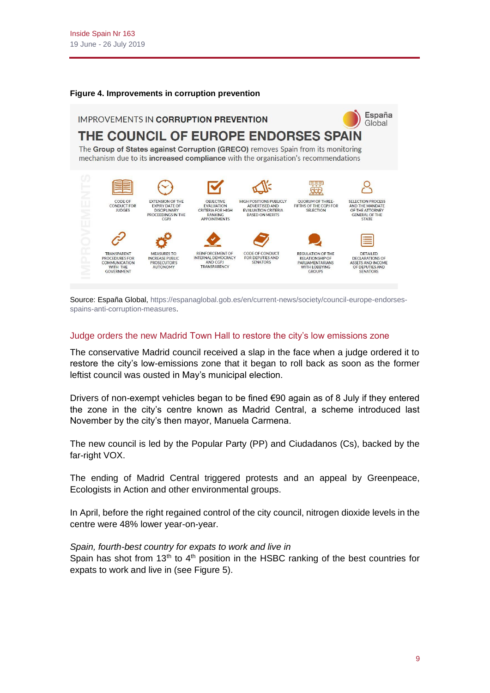#### **Figure 4. Improvements in corruption prevention**



Source: España Global[, https://espanaglobal.gob.es/en/current-news/society/council-europe-endorses](https://espanaglobal.gob.es/en/current-news/society/council-europe-endorses-spains-anti-corruption-measures)[spains-anti-corruption-measures.](https://espanaglobal.gob.es/en/current-news/society/council-europe-endorses-spains-anti-corruption-measures)

#### Judge orders the new Madrid Town Hall to restore the city's low emissions zone

The conservative Madrid council received a slap in the face when a judge ordered it to restore the city's low-emissions zone that it began to roll back as soon as the former leftist council was ousted in May's municipal election.

Drivers of non-exempt vehicles began to be fined  $\epsilon$ 90 again as of 8 July if they entered the zone in the city's centre known as Madrid Central, a scheme introduced last November by the city's then mayor, Manuela Carmena.

The new council is led by the Popular Party (PP) and Ciudadanos (Cs), backed by the far-right VOX.

The ending of Madrid Central triggered protests and an appeal by Greenpeace, Ecologists in Action and other environmental groups.

In April, before the right regained control of the city council, nitrogen dioxide levels in the centre were 48% lower year-on-year.

#### *Spain, fourth-best country for expats to work and live in*

Spain has shot from  $13<sup>th</sup>$  to  $4<sup>th</sup>$  position in the HSBC ranking of the best countries for expats to work and live in (see Figure 5).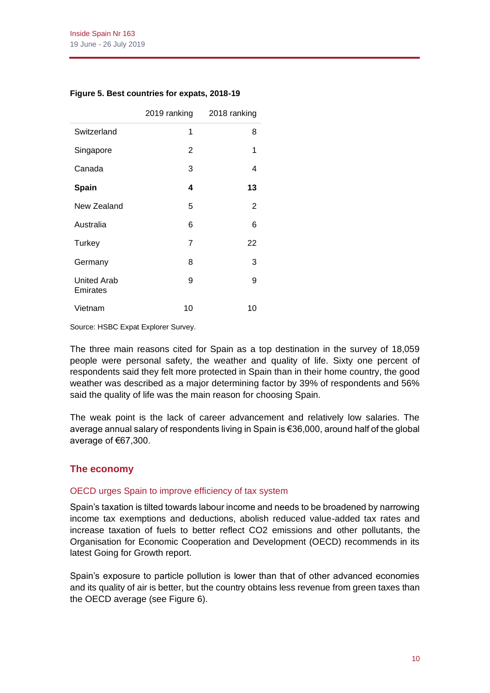|  |  | Figure 5. Best countries for expats, 2018-19 |  |  |  |
|--|--|----------------------------------------------|--|--|--|
|--|--|----------------------------------------------|--|--|--|

|                                | 2019 ranking   | 2018 ranking |
|--------------------------------|----------------|--------------|
| Switzerland                    | 1              | 8            |
| Singapore                      | 2              | 1            |
| Canada                         | 3              | 4            |
| <b>Spain</b>                   | 4              | 13           |
| New Zealand                    | 5              | 2            |
| Australia                      | 6              | 6            |
| Turkey                         | $\overline{7}$ | 22           |
| Germany                        | 8              | 3            |
| <b>United Arab</b><br>Emirates | 9              | 9            |
| Vietnam                        | 10             | 10           |

Source: HSBC Expat Explorer Survey.

The three main reasons cited for Spain as a top destination in the survey of 18,059 people were personal safety, the weather and quality of life. Sixty one percent of respondents said they felt more protected in Spain than in their home country, the good weather was described as a major determining factor by 39% of respondents and 56% said the quality of life was the main reason for choosing Spain.

The weak point is the lack of career advancement and relatively low salaries. The average annual salary of respondents living in Spain is €36,000, around half of the global average of €67,300.

# **The economy**

## OECD urges Spain to improve efficiency of tax system

Spain's taxation is tilted towards labour income and needs to be broadened by narrowing income tax exemptions and deductions, abolish reduced value-added tax rates and increase taxation of fuels to better reflect CO2 emissions and other pollutants, the Organisation for Economic Cooperation and Development (OECD) recommends in its latest Going for Growth report.

Spain's exposure to particle pollution is lower than that of other advanced economies and its quality of air is better, but the country obtains less revenue from green taxes than the OECD average (see Figure 6).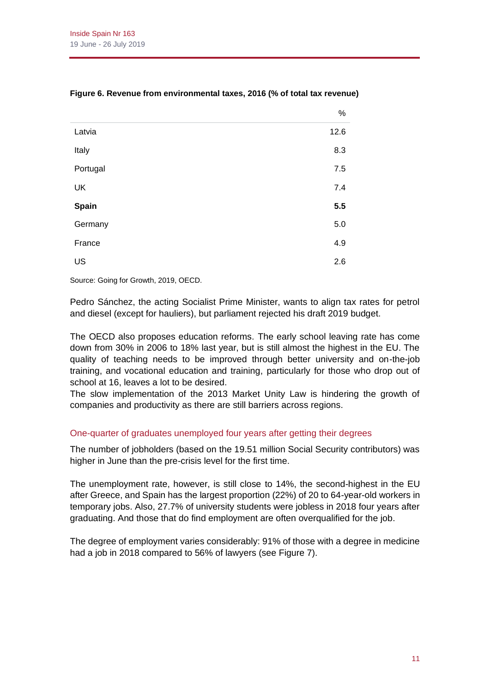|          | %       |
|----------|---------|
| Latvia   | 12.6    |
| Italy    | 8.3     |
| Portugal | $7.5\,$ |
| UK       | 7.4     |
| Spain    | 5.5     |
| Germany  | $5.0\,$ |
| France   | 4.9     |
| US       | 2.6     |

## **Figure 6. Revenue from environmental taxes, 2016 (% of total tax revenue)**

Source: Going for Growth, 2019, OECD.

Pedro Sánchez, the acting Socialist Prime Minister, wants to align tax rates for petrol and diesel (except for hauliers), but parliament rejected his draft 2019 budget.

The OECD also proposes education reforms. The early school leaving rate has come down from 30% in 2006 to 18% last year, but is still almost the highest in the EU. The quality of teaching needs to be improved through better university and on-the-job training, and vocational education and training, particularly for those who drop out of school at 16, leaves a lot to be desired.

The slow implementation of the 2013 Market Unity Law is hindering the growth of companies and productivity as there are still barriers across regions.

## One-quarter of graduates unemployed four years after getting their degrees

The number of jobholders (based on the 19.51 million Social Security contributors) was higher in June than the pre-crisis level for the first time.

The unemployment rate, however, is still close to 14%, the second-highest in the EU after Greece, and Spain has the largest proportion (22%) of 20 to 64-year-old workers in temporary jobs. Also, 27.7% of university students were jobless in 2018 four years after graduating. And those that do find employment are often overqualified for the job.

The degree of employment varies considerably: 91% of those with a degree in medicine had a job in 2018 compared to 56% of lawyers (see Figure 7).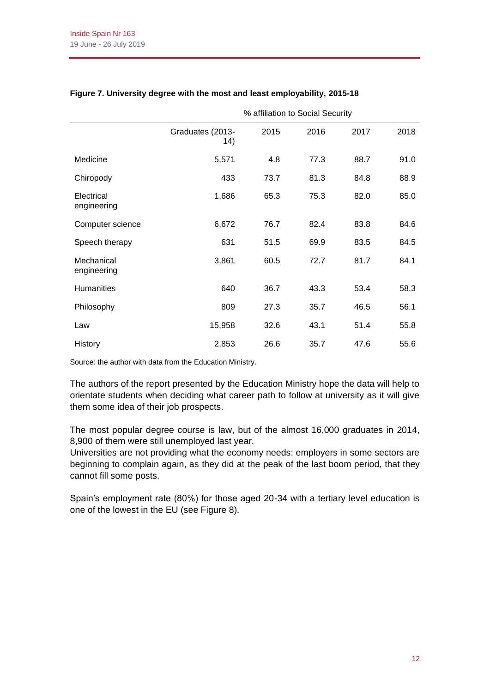|                           | % affiliation to Social Security |      |      |      |      |
|---------------------------|----------------------------------|------|------|------|------|
|                           | Graduates (2013-<br>14)          | 2015 | 2016 | 2017 | 2018 |
| Medicine                  | 5,571                            | 4.8  | 77.3 | 88.7 | 91.0 |
| Chiropody                 | 433                              | 73.7 | 81.3 | 84.8 | 88.9 |
| Electrical<br>engineering | 1,686                            | 65.3 | 75.3 | 82.0 | 85.0 |
| Computer science          | 6,672                            | 76.7 | 82.4 | 83.8 | 84.6 |
| Speech therapy            | 631                              | 51.5 | 69.9 | 83.5 | 84.5 |
| Mechanical<br>engineering | 3,861                            | 60.5 | 72.7 | 81.7 | 84.1 |
| <b>Humanities</b>         | 640                              | 36.7 | 43.3 | 53.4 | 58.3 |
| Philosophy                | 809                              | 27.3 | 35.7 | 46.5 | 56.1 |
| Law                       | 15,958                           | 32.6 | 43.1 | 51.4 | 55.8 |
| <b>History</b>            | 2,853                            | 26.6 | 35.7 | 47.6 | 55.6 |

## **Figure 7. University degree with the most and least employability, 2015-18**

Source: the author with data from the Education Ministry.

The authors of the report presented by the Education Ministry hope the data will help to orientate students when deciding what career path to follow at university as it will give them some idea of their job prospects.

The most popular degree course is law, but of the almost 16,000 graduates in 2014, 8,900 of them were still unemployed last year.

Universities are not providing what the economy needs: employers in some sectors are beginning to complain again, as they did at the peak of the last boom period, that they cannot fill some posts.

Spain's employment rate (80%) for those aged 20-34 with a tertiary level education is one of the lowest in the EU (see Figure 8).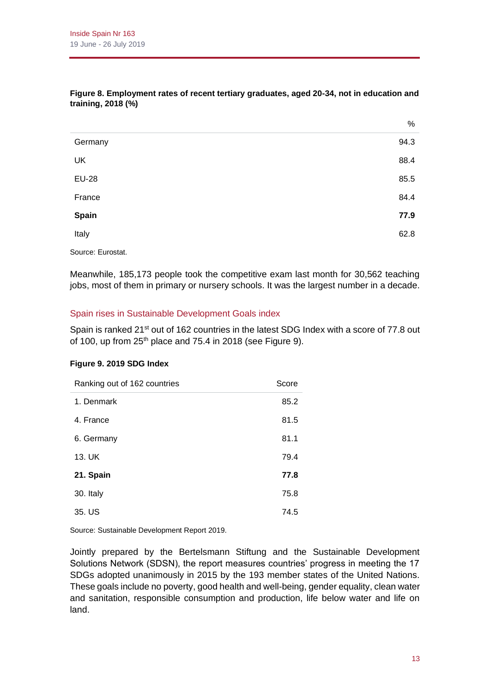|              | 70   |
|--------------|------|
| Germany      | 94.3 |
| UK           | 88.4 |
| <b>EU-28</b> | 85.5 |
| France       | 84.4 |
| Spain        | 77.9 |
| Italy        | 62.8 |
|              |      |

#### **Figure 8. Employment rates of recent tertiary graduates, aged 20-34, not in education and training, 2018 (%)**

Source: Eurostat.

Meanwhile, 185,173 people took the competitive exam last month for 30,562 teaching jobs, most of them in primary or nursery schools. It was the largest number in a decade.

## Spain rises in Sustainable Development Goals index

Spain is ranked 21<sup>st</sup> out of 162 countries in the latest SDG Index with a score of 77.8 out of 100, up from  $25<sup>th</sup>$  place and 75.4 in 2018 (see Figure 9).

#### **Figure 9. 2019 SDG Index**

| Ranking out of 162 countries | Score |
|------------------------------|-------|
| 1. Denmark                   | 85.2  |
| 4. France                    | 81.5  |
| 6. Germany                   | 81.1  |
| 13. UK                       | 79.4  |
| 21. Spain                    | 77.8  |
| 30. Italy                    | 75.8  |
| 35. US                       | 74.5  |

Source: Sustainable Development Report 2019.

Jointly prepared by the Bertelsmann Stiftung and the Sustainable Development Solutions Network (SDSN), the report measures countries' progress in meeting the 17 SDGs adopted unanimously in 2015 by the 193 member states of the United Nations. These goals include no poverty, good health and well-being, gender equality, clean water and sanitation, responsible consumption and production, life below water and life on land.

 $\alpha$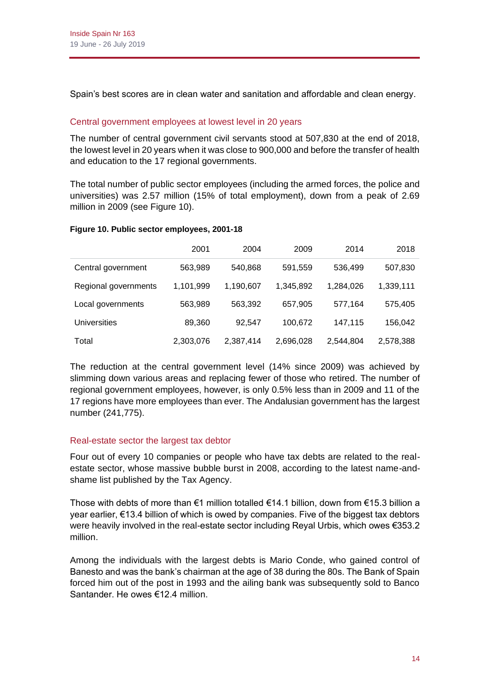Spain's best scores are in clean water and sanitation and affordable and clean energy.

# Central government employees at lowest level in 20 years

The number of central government civil servants stood at 507,830 at the end of 2018, the lowest level in 20 years when it was close to 900,000 and before the transfer of health and education to the 17 regional governments.

The total number of public sector employees (including the armed forces, the police and universities) was 2.57 million (15% of total employment), down from a peak of 2.69 million in 2009 (see Figure 10).

## **Figure 10. Public sector employees, 2001-18**

|                      | 2001      | 2004      | 2009      | 2014      | 2018      |
|----------------------|-----------|-----------|-----------|-----------|-----------|
| Central government   | 563,989   | 540,868   | 591,559   | 536,499   | 507,830   |
| Regional governments | 1,101,999 | 1,190,607 | 1,345,892 | 1,284,026 | 1,339,111 |
| Local governments    | 563,989   | 563,392   | 657,905   | 577,164   | 575,405   |
| <b>Universities</b>  | 89,360    | 92,547    | 100,672   | 147,115   | 156,042   |
| Total                | 2,303,076 | 2,387,414 | 2,696,028 | 2,544,804 | 2,578,388 |

The reduction at the central government level (14% since 2009) was achieved by slimming down various areas and replacing fewer of those who retired. The number of regional government employees, however, is only 0.5% less than in 2009 and 11 of the 17 regions have more employees than ever. The Andalusian government has the largest number (241,775).

## Real-estate sector the largest tax debtor

Four out of every 10 companies or people who have tax debts are related to the realestate sector, whose massive bubble burst in 2008, according to the latest name-andshame list published by the Tax Agency.

Those with debts of more than  $\epsilon$ 1 million totalled  $\epsilon$ 14.1 billion, down from  $\epsilon$ 15.3 billion a year earlier, €13.4 billion of which is owed by companies. Five of the biggest tax debtors were heavily involved in the real-estate sector including Reyal Urbis, which owes €353.2 million.

Among the individuals with the largest debts is Mario Conde, who gained control of Banesto and was the bank's chairman at the age of 38 during the 80s. The Bank of Spain forced him out of the post in 1993 and the ailing bank was subsequently sold to Banco Santander. He owes €12.4 million.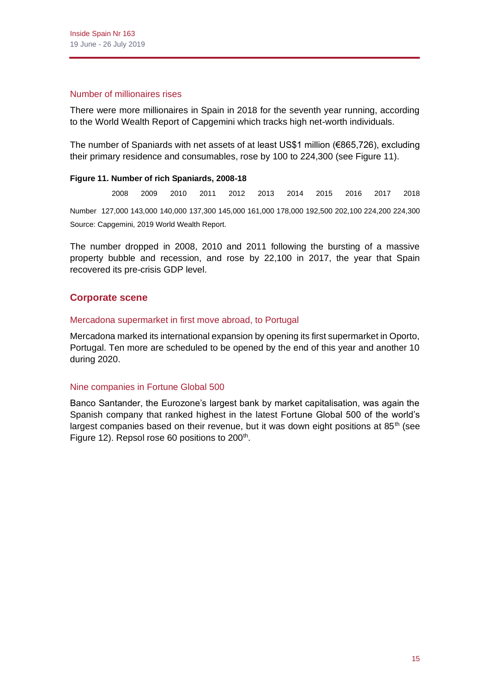#### Number of millionaires rises

There were more millionaires in Spain in 2018 for the seventh year running, according to the World Wealth Report of Capgemini which tracks high net-worth individuals.

The number of Spaniards with net assets of at least US\$1 million (€865,726), excluding their primary residence and consumables, rose by 100 to 224,300 (see Figure 11).

## **Figure 11. Number of rich Spaniards, 2008-18**

2008 2009 2010 2011 2012 2013 2014 2015 2016 2017 2018 Number 127,000 143,000 140,000 137,300 145,000 161,000 178,000 192,500 202,100 224,200 224,300 Source: Capgemini, 2019 World Wealth Report.

The number dropped in 2008, 2010 and 2011 following the bursting of a massive property bubble and recession, and rose by 22,100 in 2017, the year that Spain recovered its pre-crisis GDP level.

## **Corporate scene**

## Mercadona supermarket in first move abroad, to Portugal

Mercadona marked its international expansion by opening its first supermarket in Oporto, Portugal. Ten more are scheduled to be opened by the end of this year and another 10 during 2020.

## Nine companies in Fortune Global 500

Banco Santander, the Eurozone's largest bank by market capitalisation, was again the Spanish company that ranked highest in the latest Fortune Global 500 of the world's largest companies based on their revenue, but it was down eight positions at  $85<sup>th</sup>$  (see Figure 12). Repsol rose 60 positions to 200<sup>th</sup>.